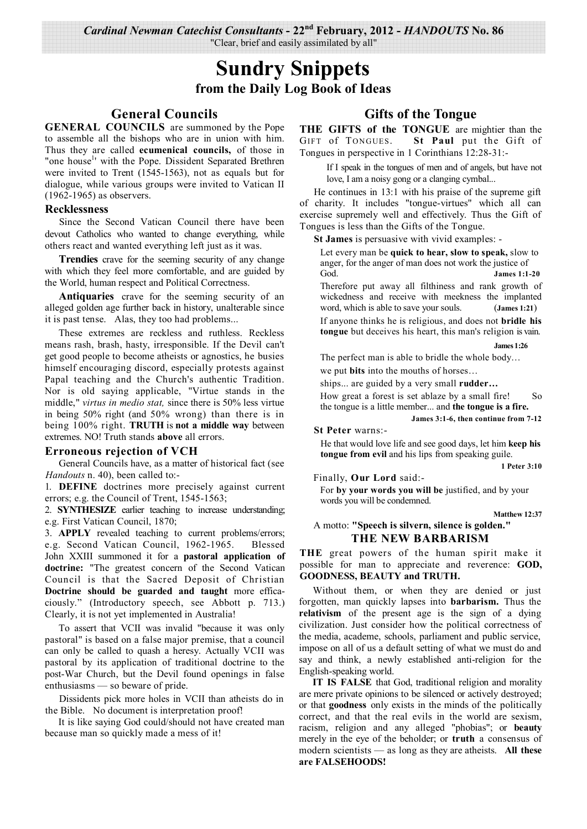*Cardinal Newman Catechist Consultants* **- 22nd February, 2012 -** *HANDOUTS* **No. 86**  "Clear, brief and easily assimilated by all"

# **Sundry Snippets from the Daily Log Book of Ideas**

# **General Councils**

**GENERAL COUNCILS** are summoned by the Pope to assemble all the bishops who are in union with him. Thus they are called **ecumenical councils,** of those in "one house<sup>1</sup>' with the Pope. Dissident Separated Brethren were invited to Trent (1545-1563), not as equals but for dialogue, while various groups were invited to Vatican II (1962-1965) as observers.

#### **Recklessness**

Since the Second Vatican Council there have been devout Catholics who wanted to change everything, while others react and wanted everything left just as it was.

**Trendies** crave for the seeming security of any change with which they feel more comfortable, and are guided by the World, human respect and Political Correctness.

**Antiquaries** crave for the seeming security of an alleged golden age further back in history, unalterable since it is past tense. Alas, they too had problems...

These extremes are reckless and ruthless. Reckless means rash, brash, hasty, irresponsible. If the Devil can't get good people to become atheists or agnostics, he busies himself encouraging discord, especially protests against Papal teaching and the Church's authentic Tradition. Nor is old saying applicable, "Virtue stands in the middle," *virtus in medio stat,* since there is 50% less virtue in being 50% right (and 50% wrong) than there is in being 100% right. **TRUTH** is **not a middle way** between extremes. NO! Truth stands **above** all errors.

#### **Erroneous rejection of VCH**

General Councils have, as a matter of historical fact (see *Handouts* n. 40), been called to:-

1. **DEFINE** doctrines more precisely against current errors; e.g. the Council of Trent, 1545-1563;

2. **SYNTHESIZE** earlier teaching to increase understanding; e.g. First Vatican Council, 1870;

3. **APPLY** revealed teaching to current problems/errors; e.g. Second Vatican Council, 1962-1965. Blessed John XXIII summoned it for a **pastoral application of doctrine:** "The greatest concern of the Second Vatican Council is that the Sacred Deposit of Christian **Doctrine should be guarded and taught** more efficaciously." (Introductory speech, see Abbott p. 713.) Clearly, it is not yet implemented in Australia!

To assert that VCII was invalid "because it was only pastoral" is based on a false major premise, that a council can only be called to quash a heresy. Actually VCII was pastoral by its application of traditional doctrine to the post-War Church, but the Devil found openings in false enthusiasms — so beware of pride.

Dissidents pick more holes in VCII than atheists do in the Bible. No document is interpretation proof!

 It is like saying God could/should not have created man because man so quickly made a mess of it!

# **Gifts of the Tongue**

**THE GIFTS of the TONGUE** are mightier than the GIFT of TONGUES. St Paul put the Gift of Tongues in perspective in 1 Corinthians 12:28-31:-

If I speak in the tongues of men and of angels, but have not love, I am a noisy gong or a clanging cymbal...

He continues in 13:1 with his praise of the supreme gift of charity. It includes "tongue-virtues" which all can exercise supremely well and effectively. Thus the Gift of Tongues is less than the Gifts of the Tongue.

**St James** is persuasive with vivid examples: -

Let every man be **quick to hear, slow to speak,** slow to anger, for the anger of man does not work the justice of God. **James 1:1-20**

Therefore put away all filthiness and rank growth of wickedness and receive with meekness the implanted word, which is able to save your souls. (**James 1:21**)

If anyone thinks he is religious, and does not **bridle his tongue** but deceives his heart, this man's religion is vain.

 **James 1:26** 

The perfect man is able to bridle the whole body… we put **bits** into the mouths of horses…

ships... are guided by a very small **rudder…**

How great a forest is set ablaze by a small fire! So the tongue is a little member... and **the tongue is a fire.**

**James 3:1-6, then continue from 7-12**

**St Peter** warns:-

He that would love life and see good days, let him **keep his tongue from evil** and his lips from speaking guile.

**1 Peter 3:10**

Finally, **Our Lord** said:-

For **by your words you will be** justified, and by your words you will be condemned.

**Matthew 12:37** 

#### A motto: **"Speech is silvern, silence is golden." THE NEW BARBARISM**

**THE** great powers of the human spirit make it possible for man to appreciate and reverence: **GOD, GOODNESS, BEAUTY and TRUTH.**

Without them, or when they are denied or just forgotten, man quickly lapses into **barbarism.** Thus the **relativism** of the present age is the sign of a dying civilization. Just consider how the political correctness of the media, academe, schools, parliament and public service, impose on all of us a default setting of what we must do and say and think, a newly established anti-religion for the English-speaking world.

**IT IS FALSE** that God, traditional religion and morality are mere private opinions to be silenced or actively destroyed; or that **goodness** only exists in the minds of the politically correct, and that the real evils in the world are sexism, racism, religion and any alleged "phobias"; or **beauty**  merely in the eye of the beholder; or **truth** a consensus of modern scientists — as long as they are atheists. **All these are FALSEHOODS!**